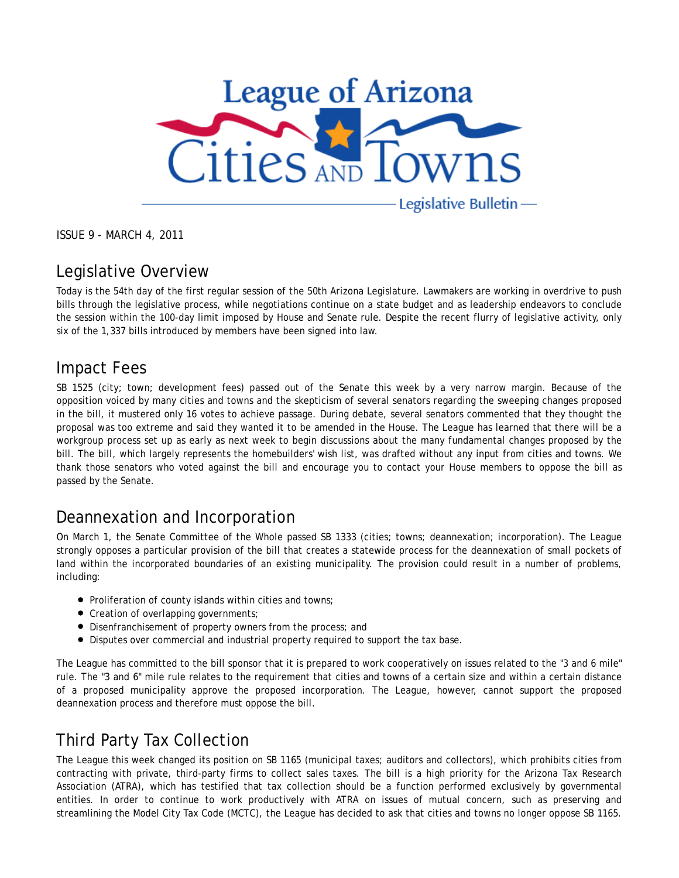

ISSUE 9 - MARCH 4, 2011

### Legislative Overview

Today is the 54th day of the first regular session of the 50th Arizona Legislature. Lawmakers are working in overdrive to push bills through the legislative process, while negotiations continue on a state budget and as leadership endeavors to conclude the session within the 100-day limit imposed by House and Senate rule. Despite the recent flurry of legislative activity, only six of the 1,337 bills introduced by members have been signed into law.

#### Impact Fees

SB 1525 (city; town; development fees) passed out of the Senate this week by a very narrow margin. Because of the opposition voiced by many cities and towns and the skepticism of several senators regarding the sweeping changes proposed in the bill, it mustered only 16 votes to achieve passage. During debate, several senators commented that they thought the proposal was too extreme and said they wanted it to be amended in the House. The League has learned that there will be a workgroup process set up as early as next week to begin discussions about the many fundamental changes proposed by the bill. The bill, which largely represents the homebuilders' wish list, was drafted without any input from cities and towns. We thank those senators who voted against the bill and encourage you to contact your House members to oppose the bill as passed by the Senate.

### Deannexation and Incorporation

On March 1, the Senate Committee of the Whole passed SB 1333 (cities; towns; deannexation; incorporation). The League strongly opposes a particular provision of the bill that creates a statewide process for the deannexation of small pockets of land within the incorporated boundaries of an existing municipality. The provision could result in a number of problems, including:

- Proliferation of county islands within cities and towns;
- Creation of overlapping governments;
- Disenfranchisement of property owners from the process; and
- Disputes over commercial and industrial property required to support the tax base.

The League has committed to the bill sponsor that it is prepared to work cooperatively on issues related to the "3 and 6 mile" rule. The "3 and 6" mile rule relates to the requirement that cities and towns of a certain size and within a certain distance of a proposed municipality approve the proposed incorporation. The League, however, cannot support the proposed deannexation process and therefore must oppose the bill.

# Third Party Tax Collection

The League this week changed its position on SB 1165 (municipal taxes; auditors and collectors), which prohibits cities from contracting with private, third-party firms to collect sales taxes. The bill is a high priority for the Arizona Tax Research Association (ATRA), which has testified that tax collection should be a function performed exclusively by governmental entities. In order to continue to work productively with ATRA on issues of mutual concern, such as preserving and streamlining the Model City Tax Code (MCTC), the League has decided to ask that cities and towns no longer oppose SB 1165.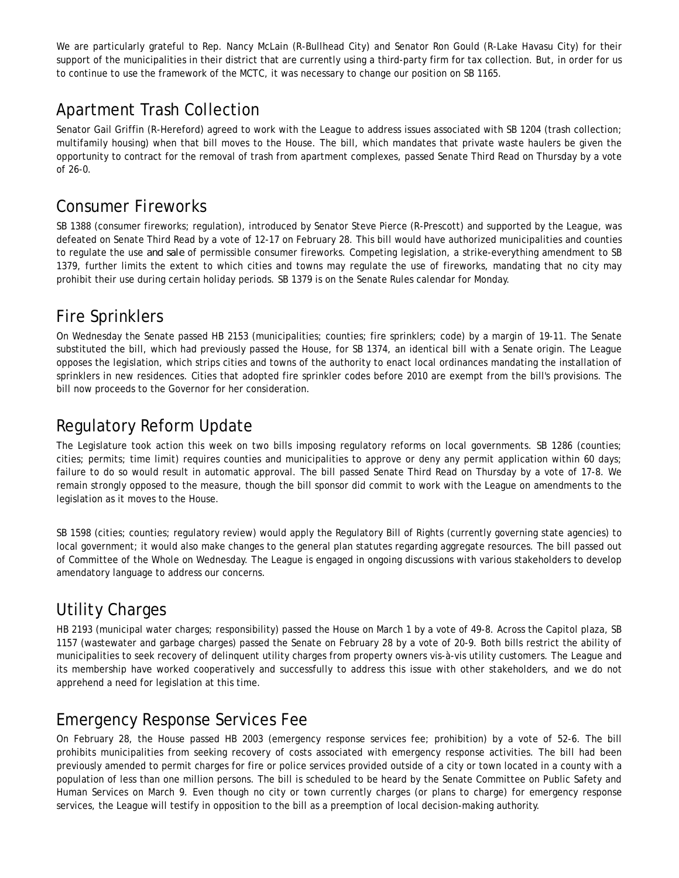We are particularly grateful to Rep. Nancy McLain (R-Bullhead City) and Senator Ron Gould (R-Lake Havasu City) for their support of the municipalities in their district that are currently using a third-party firm for tax collection. But, in order for us to continue to use the framework of the MCTC, it was necessary to change our position on SB 1165.

## Apartment Trash Collection

Senator Gail Griffin (R-Hereford) agreed to work with the League to address issues associated with SB 1204 (trash collection; multifamily housing) when that bill moves to the House. The bill, which mandates that private waste haulers be given the opportunity to contract for the removal of trash from apartment complexes, passed Senate Third Read on Thursday by a vote of 26-0.

### Consumer Fireworks

SB 1388 (consumer fireworks; regulation), introduced by Senator Steve Pierce (R-Prescott) and supported by the League, was defeated on Senate Third Read by a vote of 12-17 on February 28. This bill would have authorized municipalities and counties to regulate the use *and sale* of permissible consumer fireworks. Competing legislation, a strike-everything amendment to SB 1379, further limits the extent to which cities and towns may regulate the use of fireworks, mandating that no city may prohibit their use during certain holiday periods. SB 1379 is on the Senate Rules calendar for Monday.

### Fire Sprinklers

On Wednesday the Senate passed HB 2153 (municipalities; counties; fire sprinklers; code) by a margin of 19-11. The Senate substituted the bill, which had previously passed the House, for SB 1374, an identical bill with a Senate origin. The League opposes the legislation, which strips cities and towns of the authority to enact local ordinances mandating the installation of sprinklers in new residences. Cities that adopted fire sprinkler codes before 2010 are exempt from the bill's provisions. The bill now proceeds to the Governor for her consideration.

### Regulatory Reform Update

The Legislature took action this week on two bills imposing regulatory reforms on local governments. SB 1286 (counties; cities; permits; time limit) requires counties and municipalities to approve or deny any permit application within 60 days; failure to do so would result in automatic approval. The bill passed Senate Third Read on Thursday by a vote of 17-8. We remain strongly opposed to the measure, though the bill sponsor did commit to work with the League on amendments to the legislation as it moves to the House.

SB 1598 (cities; counties; regulatory review) would apply the Regulatory Bill of Rights (currently governing state agencies) to local government; it would also make changes to the general plan statutes regarding aggregate resources. The bill passed out of Committee of the Whole on Wednesday. The League is engaged in ongoing discussions with various stakeholders to develop amendatory language to address our concerns.

# Utility Charges

HB 2193 (municipal water charges; responsibility) passed the House on March 1 by a vote of 49-8. Across the Capitol plaza, SB 1157 (wastewater and garbage charges) passed the Senate on February 28 by a vote of 20-9. Both bills restrict the ability of municipalities to seek recovery of delinquent utility charges from property owners vis-à-vis utility customers. The League and its membership have worked cooperatively and successfully to address this issue with other stakeholders, and we do not apprehend a need for legislation at this time.

### Emergency Response Services Fee

On February 28, the House passed HB 2003 (emergency response services fee; prohibition) by a vote of 52-6. The bill prohibits municipalities from seeking recovery of costs associated with emergency response activities. The bill had been previously amended to permit charges for fire or police services provided outside of a city or town located in a county with a population of less than one million persons. The bill is scheduled to be heard by the Senate Committee on Public Safety and Human Services on March 9. Even though no city or town currently charges (or plans to charge) for emergency response services, the League will testify in opposition to the bill as a preemption of local decision-making authority.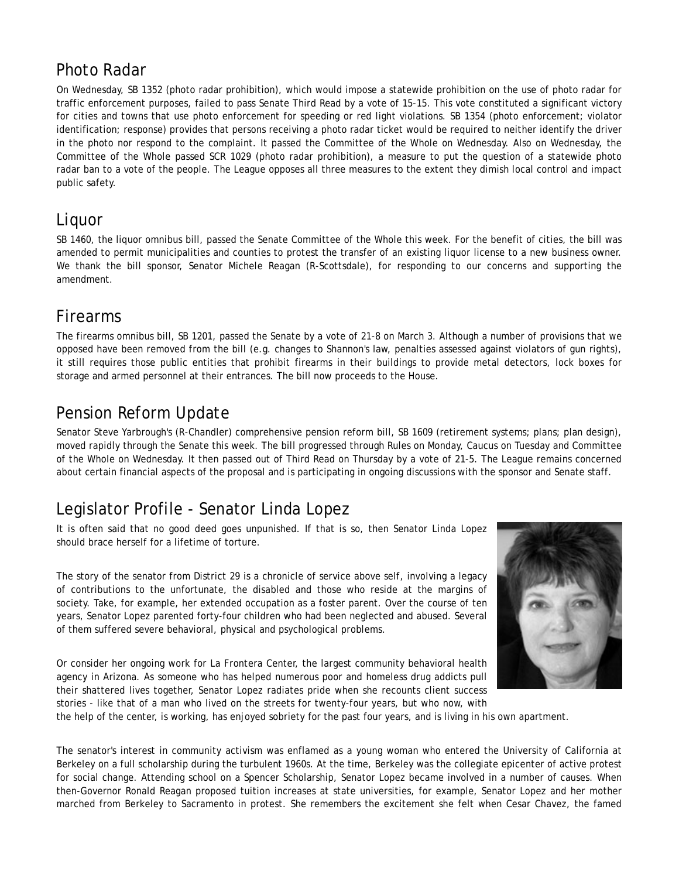#### Photo Radar

On Wednesday, SB 1352 (photo radar prohibition), which would impose a statewide prohibition on the use of photo radar for traffic enforcement purposes, failed to pass Senate Third Read by a vote of 15-15. This vote constituted a significant victory for cities and towns that use photo enforcement for speeding or red light violations. SB 1354 (photo enforcement; violator identification; response) provides that persons receiving a photo radar ticket would be required to neither identify the driver in the photo nor respond to the complaint. It passed the Committee of the Whole on Wednesday. Also on Wednesday, the Committee of the Whole passed SCR 1029 (photo radar prohibition), a measure to put the question of a statewide photo radar ban to a vote of the people. The League opposes all three measures to the extent they dimish local control and impact public safety.

### Liquor

SB 1460, the liquor omnibus bill, passed the Senate Committee of the Whole this week. For the benefit of cities, the bill was amended to permit municipalities and counties to protest the transfer of an existing liquor license to a new business owner. We thank the bill sponsor, Senator Michele Reagan (R-Scottsdale), for responding to our concerns and supporting the amendment.

### Firearms

The firearms omnibus bill, SB 1201, passed the Senate by a vote of 21-8 on March 3. Although a number of provisions that we opposed have been removed from the bill (e.g. changes to Shannon's law, penalties assessed against violators of gun rights), it still requires those public entities that prohibit firearms in their buildings to provide metal detectors, lock boxes for storage and armed personnel at their entrances. The bill now proceeds to the House.

### Pension Reform Update

Senator Steve Yarbrough's (R-Chandler) comprehensive pension reform bill, SB 1609 (retirement systems; plans; plan design), moved rapidly through the Senate this week. The bill progressed through Rules on Monday, Caucus on Tuesday and Committee of the Whole on Wednesday. It then passed out of Third Read on Thursday by a vote of 21-5. The League remains concerned about certain financial aspects of the proposal and is participating in ongoing discussions with the sponsor and Senate staff.

# Legislator Profile - Senator Linda Lopez

It is often said that no good deed goes unpunished. If that is so, then Senator Linda Lopez should brace herself for a lifetime of torture.

The story of the senator from District 29 is a chronicle of service above self, involving a legacy of contributions to the unfortunate, the disabled and those who reside at the margins of society. Take, for example, her extended occupation as a foster parent. Over the course of ten years, Senator Lopez parented forty-four children who had been neglected and abused. Several of them suffered severe behavioral, physical and psychological problems.

Or consider her ongoing work for La Frontera Center, the largest community behavioral health agency in Arizona. As someone who has helped numerous poor and homeless drug addicts pull their shattered lives together, Senator Lopez radiates pride when she recounts client success stories - like that of a man who lived on the streets for twenty-four years, but who now, with



the help of the center, is working, has enjoyed sobriety for the past four years, and is living in his own apartment.

The senator's interest in community activism was enflamed as a young woman who entered the University of California at Berkeley on a full scholarship during the turbulent 1960s. At the time, Berkeley was the collegiate epicenter of active protest for social change. Attending school on a Spencer Scholarship, Senator Lopez became involved in a number of causes. When then-Governor Ronald Reagan proposed tuition increases at state universities, for example, Senator Lopez and her mother marched from Berkeley to Sacramento in protest. She remembers the excitement she felt when Cesar Chavez, the famed